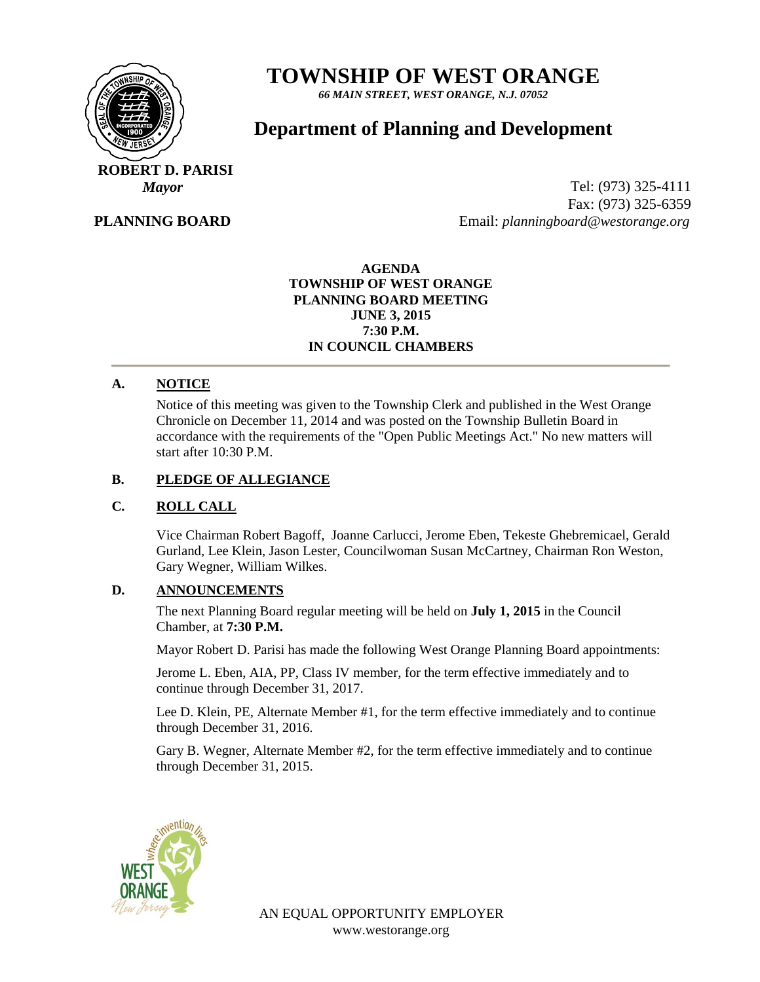

# **TOWNSHIP OF WEST ORANGE**

*66 MAIN STREET, WEST ORANGE, N.J. 07052*

# **Department of Planning and Development**

 **ROBERT D. PARISI**

 **PLANNING BOARD**

*Mayor* Tel: (973) 325-4111 Fax: (973) 325-6359 Email: *planningboard@westorange.org*

> **AGENDA TOWNSHIP OF WEST ORANGE PLANNING BOARD MEETING JUNE 3, 2015 7:30 P.M. IN COUNCIL CHAMBERS**

## **A. NOTICE**

Notice of this meeting was given to the Township Clerk and published in the West Orange Chronicle on December 11, 2014 and was posted on the Township Bulletin Board in accordance with the requirements of the "Open Public Meetings Act." No new matters will start after 10:30 P.M.

#### **B. PLEDGE OF ALLEGIANCE**

#### **C. ROLL CALL**

Vice Chairman Robert Bagoff, Joanne Carlucci, Jerome Eben, Tekeste Ghebremicael, Gerald Gurland, Lee Klein, Jason Lester, Councilwoman Susan McCartney, Chairman Ron Weston, Gary Wegner, William Wilkes.

#### **D. ANNOUNCEMENTS**

The next Planning Board regular meeting will be held on **July 1, 2015** in the Council Chamber, at **7:30 P.M.**

Mayor Robert D. Parisi has made the following West Orange Planning Board appointments:

Jerome L. Eben, AIA, PP, Class IV member, for the term effective immediately and to continue through December 31, 2017.

Lee D. Klein, PE, Alternate Member #1, for the term effective immediately and to continue through December 31, 2016.

Gary B. Wegner, Alternate Member #2, for the term effective immediately and to continue through December 31, 2015.